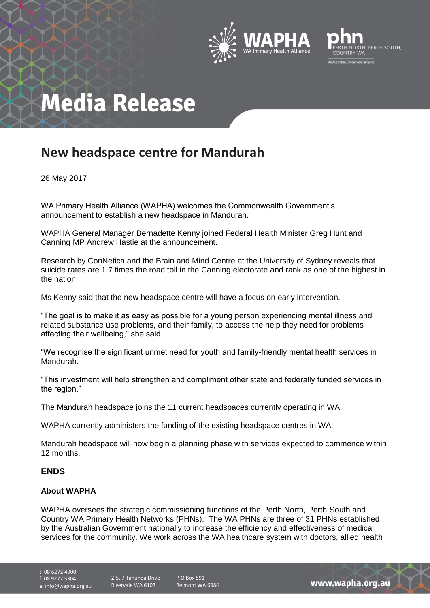



# **Media Release**

### **New headspace centre for Mandurah**

26 May 2017

WA Primary Health Alliance (WAPHA) welcomes the Commonwealth Government's announcement to establish a new headspace in Mandurah.

WAPHA General Manager Bernadette Kenny joined Federal Health Minister Greg Hunt and Canning MP Andrew Hastie at the announcement.

Research by ConNetica and the Brain and Mind Centre at the University of Sydney reveals that suicide rates are 1.7 times the road toll in the Canning electorate and rank as one of the highest in the nation.

Ms Kenny said that the new headspace centre will have a focus on early intervention.

"The goal is to make it as easy as possible for a young person experiencing mental illness and related substance use problems, and their family, to access the help they need for problems affecting their wellbeing," she said.

"We recognise the significant unmet need for youth and family-friendly mental health services in Mandurah.

"This investment will help strengthen and compliment other state and federally funded services in the region."

The Mandurah headspace joins the 11 current headspaces currently operating in WA.

WAPHA currently administers the funding of the existing headspace centres in WA.

Mandurah headspace will now begin a planning phase with services expected to commence within 12 months.

### **ENDS**

#### **About WAPHA**

WAPHA oversees the strategic commissioning functions of the Perth North, Perth South and Country WA Primary Health Networks (PHNs). The WA PHNs are three of 31 PHNs established by the Australian Government nationally to increase the efficiency and effectiveness of medical services for the community. We work across the WA healthcare system with doctors, allied health

t 08 6272 4900

f 08 9277 5304

e info@wapha.org.au